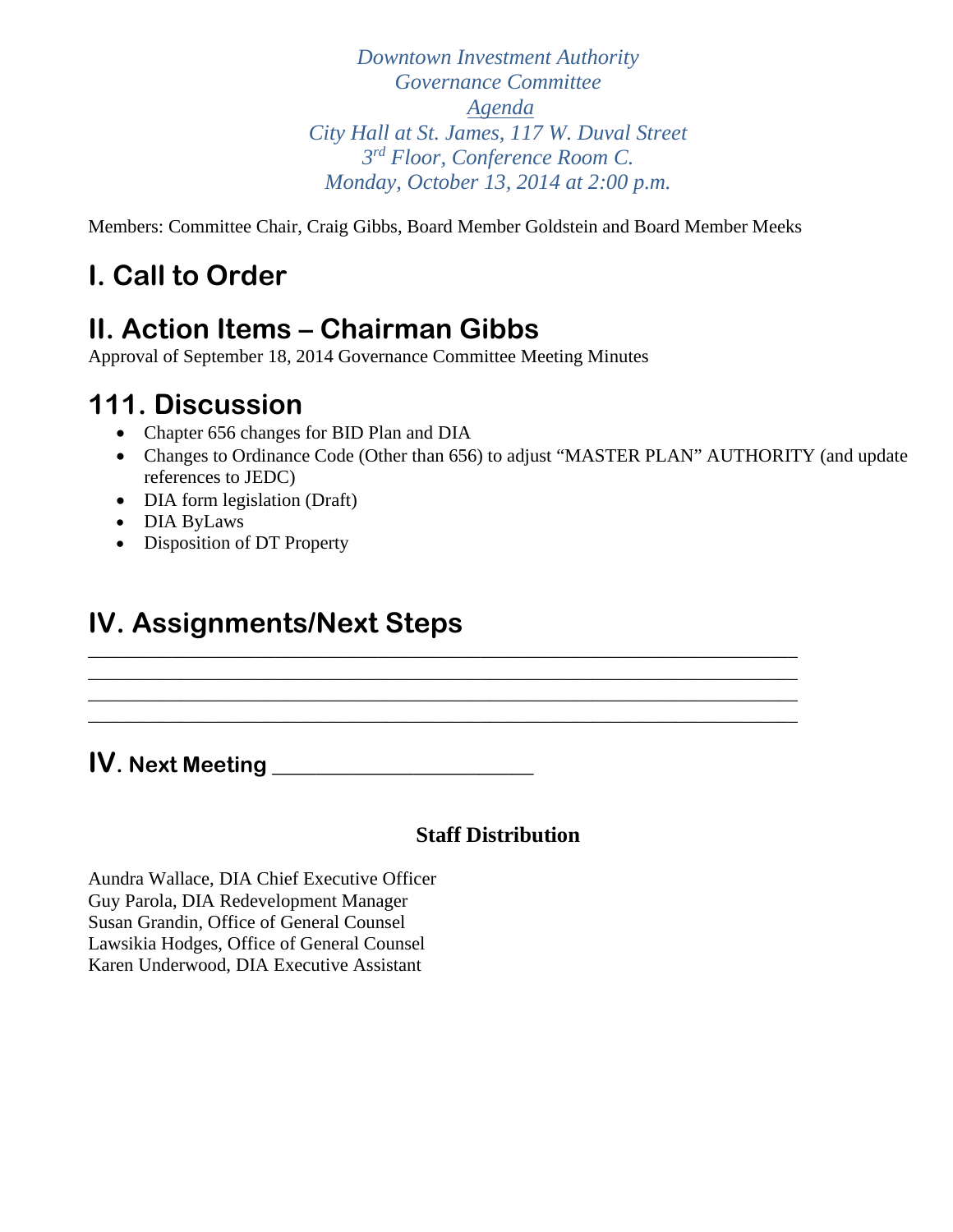*Downtown Investment Authority Governance Committee Agenda City Hall at St. James, 117 W. Duval Street 3rd Floor, Conference Room C. Monday, October 13, 2014 at 2:00 p.m.* 

Members: Committee Chair, Craig Gibbs, Board Member Goldstein and Board Member Meeks

\_\_\_\_\_\_\_\_\_\_\_\_\_\_\_\_\_\_\_\_\_\_\_\_\_\_\_\_\_\_\_\_\_\_\_\_\_\_\_\_\_\_\_\_\_\_\_\_\_\_\_\_\_\_\_\_\_\_\_\_\_\_\_\_\_\_\_\_\_\_\_\_\_\_\_\_ \_\_\_\_\_\_\_\_\_\_\_\_\_\_\_\_\_\_\_\_\_\_\_\_\_\_\_\_\_\_\_\_\_\_\_\_\_\_\_\_\_\_\_\_\_\_\_\_\_\_\_\_\_\_\_\_\_\_\_\_\_\_\_\_\_\_\_\_\_\_\_\_\_\_\_\_ \_\_\_\_\_\_\_\_\_\_\_\_\_\_\_\_\_\_\_\_\_\_\_\_\_\_\_\_\_\_\_\_\_\_\_\_\_\_\_\_\_\_\_\_\_\_\_\_\_\_\_\_\_\_\_\_\_\_\_\_\_\_\_\_\_\_\_\_\_\_\_\_\_\_\_\_ \_\_\_\_\_\_\_\_\_\_\_\_\_\_\_\_\_\_\_\_\_\_\_\_\_\_\_\_\_\_\_\_\_\_\_\_\_\_\_\_\_\_\_\_\_\_\_\_\_\_\_\_\_\_\_\_\_\_\_\_\_\_\_\_\_\_\_\_\_\_\_\_\_\_\_\_

# **I. Call to Order**

## **II. Action Items – Chairman Gibbs**

Approval of September 18, 2014 Governance Committee Meeting Minutes

### **111. Discussion**

- Chapter 656 changes for BID Plan and DIA
- Changes to Ordinance Code (Other than 656) to adjust "MASTER PLAN" AUTHORITY (and update references to JEDC)
- DIA form legislation (Draft)
- DIA ByLaws
- Disposition of DT Property

## **IV. Assignments/Next Steps**

### **IV. Next Meeting \_\_\_\_\_\_\_\_\_\_\_\_\_\_\_\_\_\_\_\_\_\_\_\_**

### **Staff Distribution**

Aundra Wallace, DIA Chief Executive Officer Guy Parola, DIA Redevelopment Manager Susan Grandin, Office of General Counsel Lawsikia Hodges, Office of General Counsel Karen Underwood, DIA Executive Assistant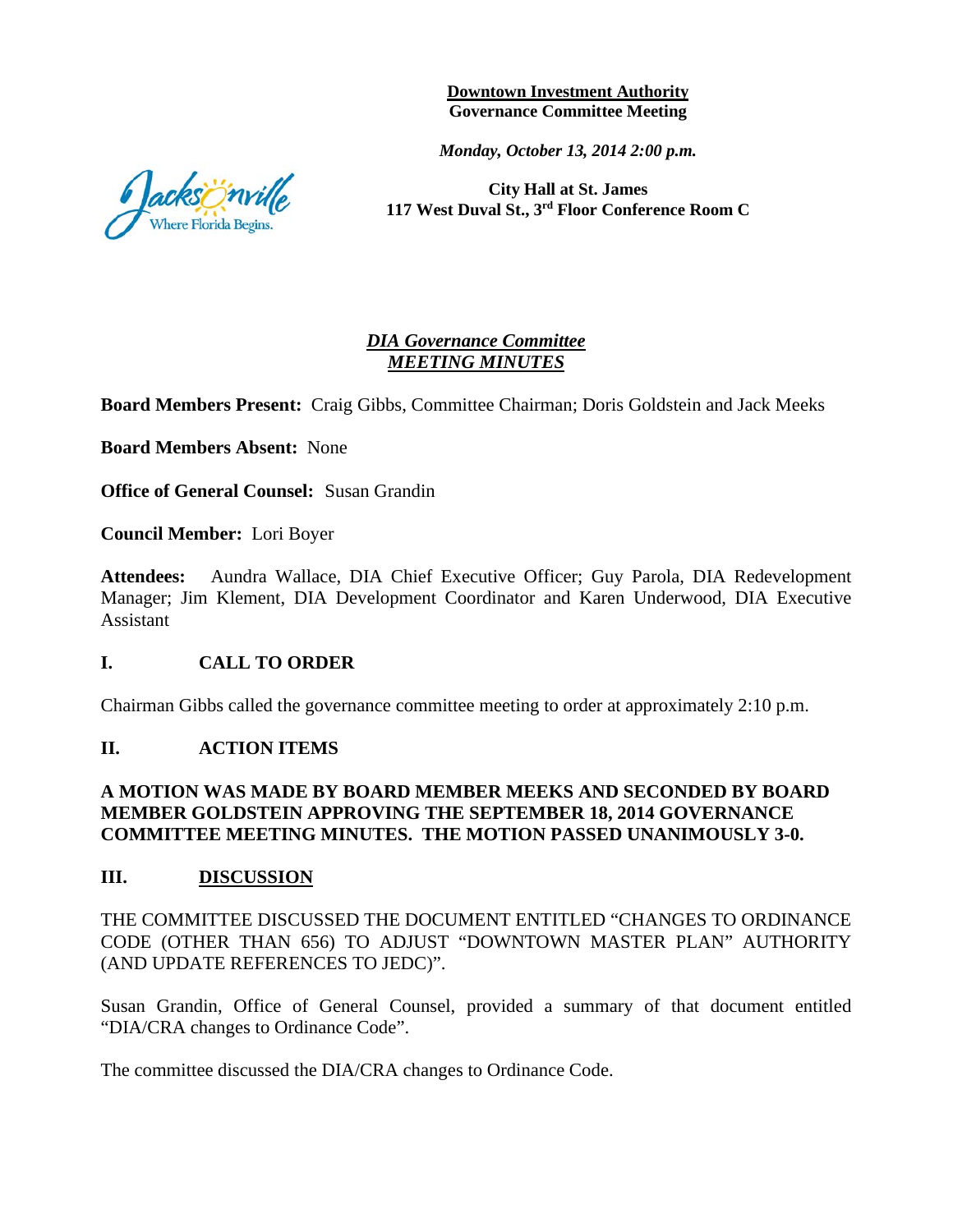**Downtown Investment Authority Governance Committee Meeting** 

*Monday, October 13, 2014 2:00 p.m.*

**City Hall at St. James 117 West Duval St., 3rd Floor Conference Room C**

#### *DIA Governance Committee MEETING MINUTES*

**Board Members Present:** Craig Gibbs, Committee Chairman; Doris Goldstein and Jack Meeks

**Board Members Absent:** None

**Office of General Counsel:** Susan Grandin

**Council Member:** Lori Boyer

**Attendees:** Aundra Wallace, DIA Chief Executive Officer; Guy Parola, DIA Redevelopment Manager; Jim Klement, DIA Development Coordinator and Karen Underwood, DIA Executive Assistant

#### **I. CALL TO ORDER**

Chairman Gibbs called the governance committee meeting to order at approximately 2:10 p.m.

#### **II. ACTION ITEMS**

#### **A MOTION WAS MADE BY BOARD MEMBER MEEKS AND SECONDED BY BOARD MEMBER GOLDSTEIN APPROVING THE SEPTEMBER 18, 2014 GOVERNANCE COMMITTEE MEETING MINUTES. THE MOTION PASSED UNANIMOUSLY 3-0.**

#### **III. DISCUSSION**

THE COMMITTEE DISCUSSED THE DOCUMENT ENTITLED "CHANGES TO ORDINANCE CODE (OTHER THAN 656) TO ADJUST "DOWNTOWN MASTER PLAN" AUTHORITY (AND UPDATE REFERENCES TO JEDC)".

Susan Grandin, Office of General Counsel, provided a summary of that document entitled "DIA/CRA changes to Ordinance Code".

The committee discussed the DIA/CRA changes to Ordinance Code.

acksönville here Florida Begins.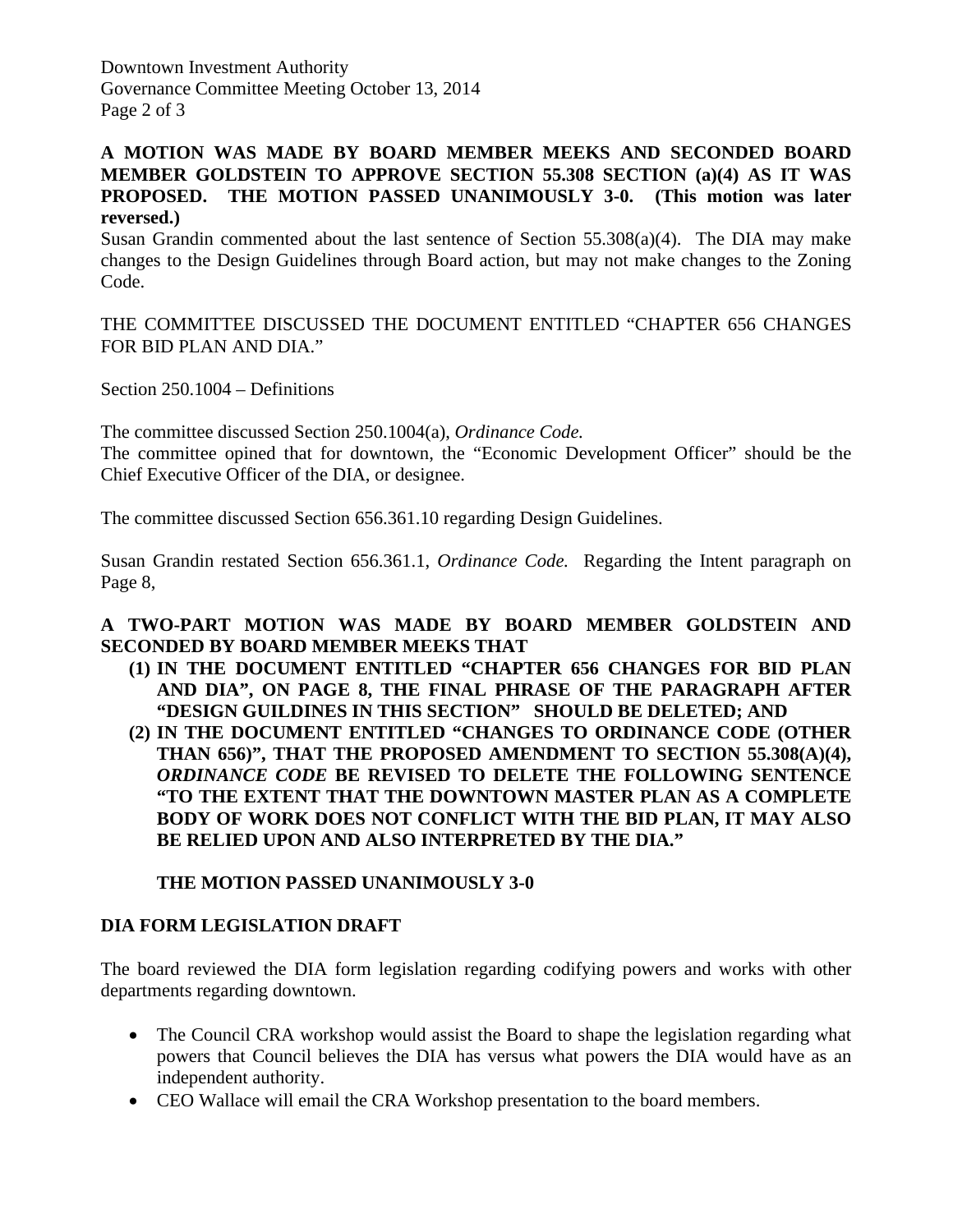Downtown Investment Authority Governance Committee Meeting October 13, 2014 Page 2 of 3

#### **A MOTION WAS MADE BY BOARD MEMBER MEEKS AND SECONDED BOARD MEMBER GOLDSTEIN TO APPROVE SECTION 55.308 SECTION (a)(4) AS IT WAS PROPOSED. THE MOTION PASSED UNANIMOUSLY 3-0. (This motion was later reversed.)**

Susan Grandin commented about the last sentence of Section 55.308(a)(4). The DIA may make changes to the Design Guidelines through Board action, but may not make changes to the Zoning Code.

THE COMMITTEE DISCUSSED THE DOCUMENT ENTITLED "CHAPTER 656 CHANGES FOR BID PLAN AND DIA."

Section 250.1004 – Definitions

The committee discussed Section 250.1004(a), *Ordinance Code.*

The committee opined that for downtown, the "Economic Development Officer" should be the Chief Executive Officer of the DIA, or designee.

The committee discussed Section 656.361.10 regarding Design Guidelines.

Susan Grandin restated Section 656.361.1, *Ordinance Code.* Regarding the Intent paragraph on Page 8,

#### **A TWO-PART MOTION WAS MADE BY BOARD MEMBER GOLDSTEIN AND SECONDED BY BOARD MEMBER MEEKS THAT**

- **(1) IN THE DOCUMENT ENTITLED "CHAPTER 656 CHANGES FOR BID PLAN AND DIA", ON PAGE 8, THE FINAL PHRASE OF THE PARAGRAPH AFTER "DESIGN GUILDINES IN THIS SECTION" SHOULD BE DELETED; AND**
- **(2) IN THE DOCUMENT ENTITLED "CHANGES TO ORDINANCE CODE (OTHER THAN 656)", THAT THE PROPOSED AMENDMENT TO SECTION 55.308(A)(4),**  *ORDINANCE CODE* **BE REVISED TO DELETE THE FOLLOWING SENTENCE "TO THE EXTENT THAT THE DOWNTOWN MASTER PLAN AS A COMPLETE BODY OF WORK DOES NOT CONFLICT WITH THE BID PLAN, IT MAY ALSO BE RELIED UPON AND ALSO INTERPRETED BY THE DIA."**

#### **THE MOTION PASSED UNANIMOUSLY 3-0**

#### **DIA FORM LEGISLATION DRAFT**

The board reviewed the DIA form legislation regarding codifying powers and works with other departments regarding downtown.

- The Council CRA workshop would assist the Board to shape the legislation regarding what powers that Council believes the DIA has versus what powers the DIA would have as an independent authority.
- CEO Wallace will email the CRA Workshop presentation to the board members.